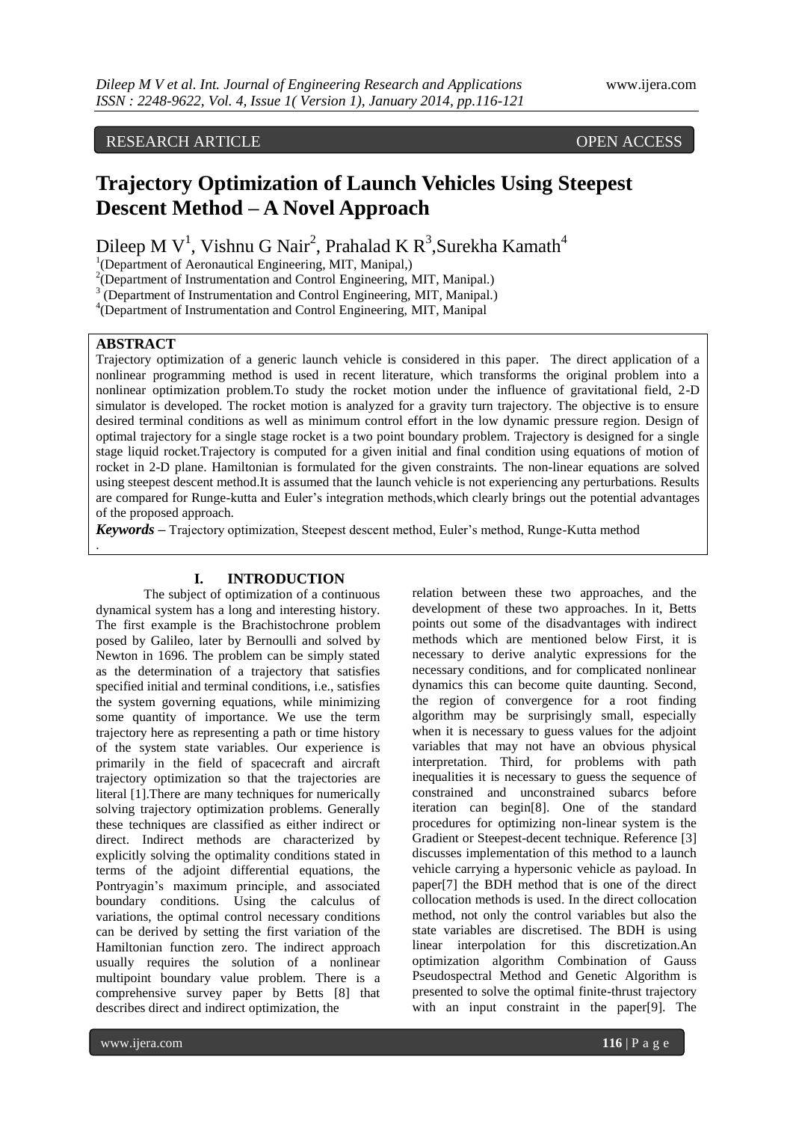# RESEARCH ARTICLE **OPEN ACCESS**

# **Trajectory Optimization of Launch Vehicles Using Steepest Descent Method – A Novel Approach**

Dileep M V<sup>1</sup>, Vishnu G Nair<sup>2</sup>, Prahalad K R<sup>3</sup>, Surekha Kamath<sup>4</sup>

<sup>1</sup>(Department of Aeronautical Engineering, MIT, Manipal,)

<sup>2</sup>(Department of Instrumentation and Control Engineering, MIT, Manipal.)

 $3 \text{ (Department of Instrumentation and Control Engineering, MIT, Manipal.)}$ 

4 (Department of Instrumentation and Control Engineering, MIT, Manipal

## **ABSTRACT**

.

Trajectory optimization of a generic launch vehicle is considered in this paper. The direct application of a nonlinear programming method is used in recent literature, which transforms the original problem into a nonlinear optimization problem.To study the rocket motion under the influence of gravitational field, 2-D simulator is developed. The rocket motion is analyzed for a gravity turn trajectory. The objective is to ensure desired terminal conditions as well as minimum control effort in the low dynamic pressure region. Design of optimal trajectory for a single stage rocket is a two point boundary problem. Trajectory is designed for a single stage liquid rocket.Trajectory is computed for a given initial and final condition using equations of motion of rocket in 2-D plane. Hamiltonian is formulated for the given constraints. The non-linear equations are solved using steepest descent method.It is assumed that the launch vehicle is not experiencing any perturbations. Results are compared for Runge-kutta and Euler"s integration methods,which clearly brings out the potential advantages of the proposed approach.

*Keywords* **–** Trajectory optimization, Steepest descent method, Euler"s method, Runge-Kutta method

# **I. INTRODUCTION**

The subject of optimization of a continuous dynamical system has a long and interesting history. The first example is the Brachistochrone problem posed by Galileo, later by Bernoulli and solved by Newton in 1696. The problem can be simply stated as the determination of a trajectory that satisfies specified initial and terminal conditions, i.e., satisfies the system governing equations, while minimizing some quantity of importance. We use the term trajectory here as representing a path or time history of the system state variables. Our experience is primarily in the field of spacecraft and aircraft trajectory optimization so that the trajectories are literal [1].There are many techniques for numerically solving trajectory optimization problems. Generally these techniques are classified as either indirect or direct. Indirect methods are characterized by explicitly solving the optimality conditions stated in terms of the adjoint differential equations, the Pontryagin"s maximum principle, and associated boundary conditions. Using the calculus of variations, the optimal control necessary conditions can be derived by setting the first variation of the Hamiltonian function zero. The indirect approach usually requires the solution of a nonlinear multipoint boundary value problem. There is a comprehensive survey paper by Betts [8] that describes direct and indirect optimization, the

relation between these two approaches, and the development of these two approaches. In it, Betts points out some of the disadvantages with indirect methods which are mentioned below First, it is necessary to derive analytic expressions for the necessary conditions, and for complicated nonlinear dynamics this can become quite daunting. Second, the region of convergence for a root finding algorithm may be surprisingly small, especially when it is necessary to guess values for the adjoint variables that may not have an obvious physical interpretation. Third, for problems with path inequalities it is necessary to guess the sequence of constrained and unconstrained subarcs before iteration can begin[8]. One of the standard procedures for optimizing non-linear system is the Gradient or Steepest-decent technique. Reference [3] discusses implementation of this method to a launch vehicle carrying a hypersonic vehicle as payload. In paper[7] the BDH method that is one of the direct collocation methods is used. In the direct collocation method, not only the control variables but also the state variables are discretised. The BDH is using linear interpolation for this discretization.An optimization algorithm Combination of Gauss Pseudospectral Method and Genetic Algorithm is presented to solve the optimal finite-thrust trajectory with an input constraint in the paper[9]. The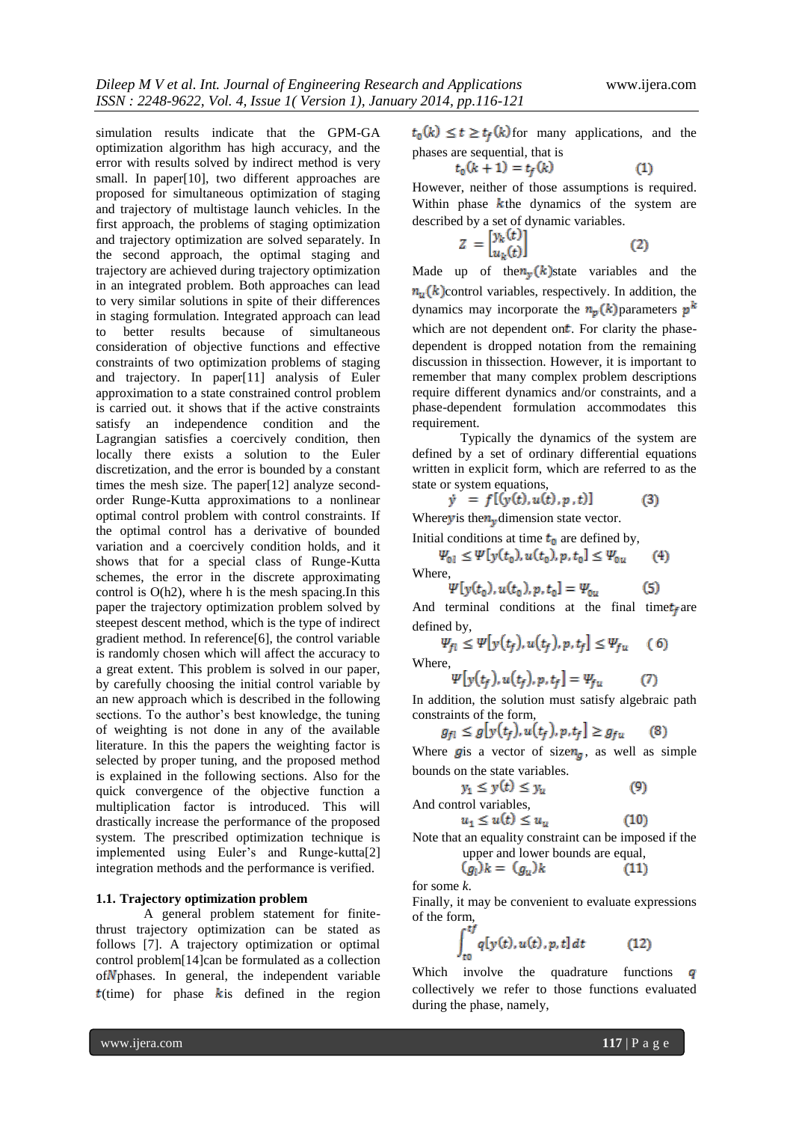simulation results indicate that the GPM-GA optimization algorithm has high accuracy, and the error with results solved by indirect method is very small. In paper[10], two different approaches are proposed for simultaneous optimization of staging and trajectory of multistage launch vehicles. In the first approach, the problems of staging optimization and trajectory optimization are solved separately. In the second approach, the optimal staging and trajectory are achieved during trajectory optimization in an integrated problem. Both approaches can lead to very similar solutions in spite of their differences in staging formulation. Integrated approach can lead<br>to better results because of simultaneous to better results because of simultaneous consideration of objective functions and effective constraints of two optimization problems of staging and trajectory. In paper[11] analysis of Euler approximation to a state constrained control problem is carried out. it shows that if the active constraints satisfy an independence condition and the Lagrangian satisfies a coercively condition, then locally there exists a solution to the Euler discretization, and the error is bounded by a constant times the mesh size. The paper[12] analyze secondorder Runge-Kutta approximations to a nonlinear optimal control problem with control constraints. If the optimal control has a derivative of bounded variation and a coercively condition holds, and it shows that for a special class of Runge-Kutta schemes, the error in the discrete approximating control is O(h2), where h is the mesh spacing.In this paper the trajectory optimization problem solved by steepest descent method, which is the type of indirect gradient method. In reference[6], the control variable is randomly chosen which will affect the accuracy to a great extent. This problem is solved in our paper, by carefully choosing the initial control variable by an new approach which is described in the following sections. To the author's best knowledge, the tuning of weighting is not done in any of the available literature. In this the papers the weighting factor is selected by proper tuning, and the proposed method is explained in the following sections. Also for the quick convergence of the objective function a multiplication factor is introduced. This will drastically increase the performance of the proposed system. The prescribed optimization technique is implemented using Euler's and Runge-kutta[2] integration methods and the performance is verified.

### **1.1. Trajectory optimization problem**

A general problem statement for finitethrust trajectory optimization can be stated as follows [7]. A trajectory optimization or optimal control problem[14]can be formulated as a collection  $of N<sub>p</sub>$  phases. In general, the independent variable  $t$ (time) for phase k is defined in the region

 $t_0(k) \le t \ge t_f(k)$  for many applications, and the phases are sequential, that is

$$
t_0(k+1) = t_f(k) \tag{1}
$$

However, neither of those assumptions is required. Within phase  $k$ the dynamics of the system are described by a set of dynamic variables.

$$
Z = \begin{bmatrix} y_k(t) \\ u_k(t) \end{bmatrix} \tag{2}
$$

Made up of the  $n_v(k)$  state variables and the  $n_{\nu}$  (k) control variables, respectively. In addition, the dynamics may incorporate the  $n_p(k)$  parameters  $p^k$ which are not dependent on*. For clarity the phase*dependent is dropped notation from the remaining discussion in thissection. However, it is important to remember that many complex problem descriptions require different dynamics and/or constraints, and a phase-dependent formulation accommodates this requirement.

Typically the dynamics of the system are defined by a set of ordinary differential equations written in explicit form, which are referred to as the state or system equations,

$$
= f[(y(t), u(t), p, t)] \tag{3}
$$

Where *y* is the  $n_v$  dimension state vector.

ŷ

Initial conditions at time  $t_0$  are defined by,

 $\Psi_{0l} \leq \Psi[y(t_0), u(t_0), p, t_0] \leq \Psi_{0u}$  $(4)$ Where,

$$
\Psi[y(t_0), u(t_0), p, t_0] = \Psi_{0u} \tag{5}
$$

And terminal conditions at the final time  $t_f$  are defined by,

$$
\Psi_{fl} \le \Psi[y(t_f), u(t_f), p, t_f] \le \Psi_{fu} \quad (6)
$$
  
Where,

$$
\Psi[y(t_f), u(t_f), p, t_f] = \Psi_{fu} \tag{7}
$$

In addition, the solution must satisfy algebraic path constraints of the form,

$$
g_{fl} \le g[y(t_f), u(t_f), p, t_f] \ge g_{fu} \qquad (8)
$$

Where **g** is a vector of size  $n_a$ , as well as simple bounds on the state variables.<br> $y_1 \le y(t) \le y_u$ 

And control variables,  

$$
u_1 \leq u(t) \leq u_u
$$

Note that an equality constraint can be imposed if the upper and lower bounds are equal,

$$
(g_l)_k = (g_u)_k \tag{11}
$$

for some *k*.

Finally, it may be convenient to evaluate expressions of the form,

$$
\int_{t0}^{tJ} q[y(t), u(t), p, t] dt \qquad (12)
$$

Which involve the quadrature functions  $q$ collectively we refer to those functions evaluated during the phase, namely,

 $(9)$ 

 $(10)$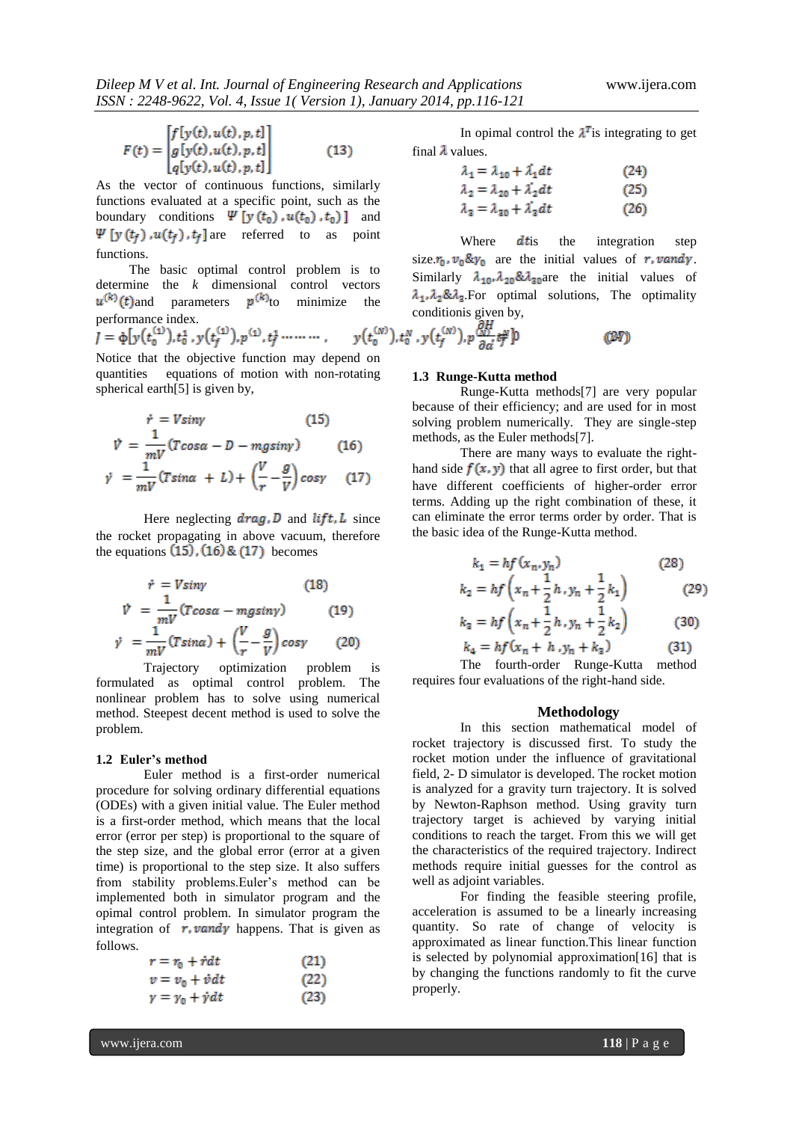$$
F(t) = \begin{bmatrix} f[y(t), u(t), p, t] \\ g[y(t), u(t), p, t] \\ q[y(t), u(t), p, t] \end{bmatrix}
$$
(13)

As the vector of continuous functions, similarly functions evaluated at a specific point, such as the boundary conditions  $\Psi[y(t_0), u(t_0), t_0)]$  and  $\Psi[y(t_f), u(t_f), t_f]$  are referred to as point functions.

 The basic optimal control problem is to determine the *k* dimensional control vectors  $u^{(k)}(t)$  and parameters  $p^{(k)}$  to minimize the performance index. conditionis given by,

Notice that the objective function may depend on quantities equations of motion with non-rotating spherical earth[5] is given by,

$$
\dot{r} = V \sin \gamma \qquad (15)
$$
\n
$$
\dot{V} = \frac{1}{mV} (T \cos \alpha - D - mg \sin \gamma) \qquad (16)
$$
\n
$$
\dot{\gamma} = \frac{1}{mV} (T \sin \alpha + L) + \left(\frac{V}{r} - \frac{g}{V}\right) \cos \gamma \qquad (17)
$$

Here neglecting  $drag, D$  and  $lift, L$  since the rocket propagating in above vacuum, therefore the equations  $(15)$ ,  $(16)$  &  $(17)$  becomes

$$
\dot{r} = V \sin \gamma \qquad (18)
$$
\n
$$
\dot{V} = \frac{1}{mV} (T \cos \alpha - m g \sin \gamma) \qquad (19)
$$
\n
$$
\dot{\gamma} = \frac{1}{mV} (T \sin \alpha) + \left(\frac{V}{r} - \frac{g}{V}\right) \cos \gamma \qquad (20)
$$

Trajectory optimization problem is formulated as optimal control problem. The nonlinear problem has to solve using numerical method. Steepest decent method is used to solve the problem.

### **1.2 Euler's method**

Euler method is a first-order numerical procedure for solving ordinary differential equations (ODEs) with a given initial value. The Euler method is a first-order method, which means that the local error (error per step) is proportional to the square of the step size, and the global error (error at a given time) is proportional to the step size. It also suffers from stability problems.Euler"s method can be implemented both in simulator program and the opimal control problem. In simulator program the integration of  $r$ , vandy happens. That is given as follows.

$$
r = r_0 + \dot{r}dt
$$
 (21)  
\n
$$
v = v_0 + \dot{v}dt
$$
 (22)  
\n
$$
y = \gamma_0 + \dot{v}dt
$$
 (23)

In opimal control the  $\lambda^T$  is integrating to get final  $\lambda$  values.

$$
\lambda_1 = \lambda_{10} + \lambda_1 dt \tag{24}
$$
  
\n
$$
\lambda_2 = \lambda_{20} + \lambda_2' dt \tag{25}
$$

$$
\lambda_3 = \lambda_{30} + \lambda_3' dt \tag{26}
$$

Where  $dt$  is the integration step size. $r_0$ ,  $v_0 \& y_0$  are the initial values of r, vandy. Similarly  $\lambda_{10}$ ,  $\lambda_{20}$ & $\lambda_{30}$  are the initial values of  $\lambda_1, \lambda_2, \lambda_3$ . For optimal solutions, The optimality

# (1247)

### **1.3 Runge-Kutta method**

Runge-Kutta methods[7] are very popular because of their efficiency; and are used for in most solving problem numerically. They are single-step methods, as the Euler methods[7].

There are many ways to evaluate the righthand side  $f(x, y)$  that all agree to first order, but that have different coefficients of higher-order error terms. Adding up the right combination of these, it can eliminate the error terms order by order. That is the basic idea of the Runge-Kutta method.

$$
k_1 = hf(x_n, y_n)
$$
 (28)

$$
k_2 = hf\left(x_n + \frac{1}{2}h, y_n + \frac{1}{2}k_1\right) \tag{29}
$$

$$
k_2 = h f\left(x_n + \frac{1}{2}h, y_n + \frac{1}{2}k_2\right) \tag{30}
$$

$$
k_4 = h f(x_n + h, y_n + k_3)
$$
 (31)

The fourth-order Runge-Kutta method requires four evaluations of the right-hand side.

### **Methodology**

In this section mathematical model of rocket trajectory is discussed first. To study the rocket motion under the influence of gravitational field, 2- D simulator is developed. The rocket motion is analyzed for a gravity turn trajectory. It is solved by Newton-Raphson method. Using gravity turn trajectory target is achieved by varying initial conditions to reach the target. From this we will get the characteristics of the required trajectory. Indirect methods require initial guesses for the control as well as adjoint variables.

For finding the feasible steering profile, acceleration is assumed to be a linearly increasing quantity. So rate of change of velocity is approximated as linear function.This linear function is selected by polynomial approximation[16] that is by changing the functions randomly to fit the curve properly.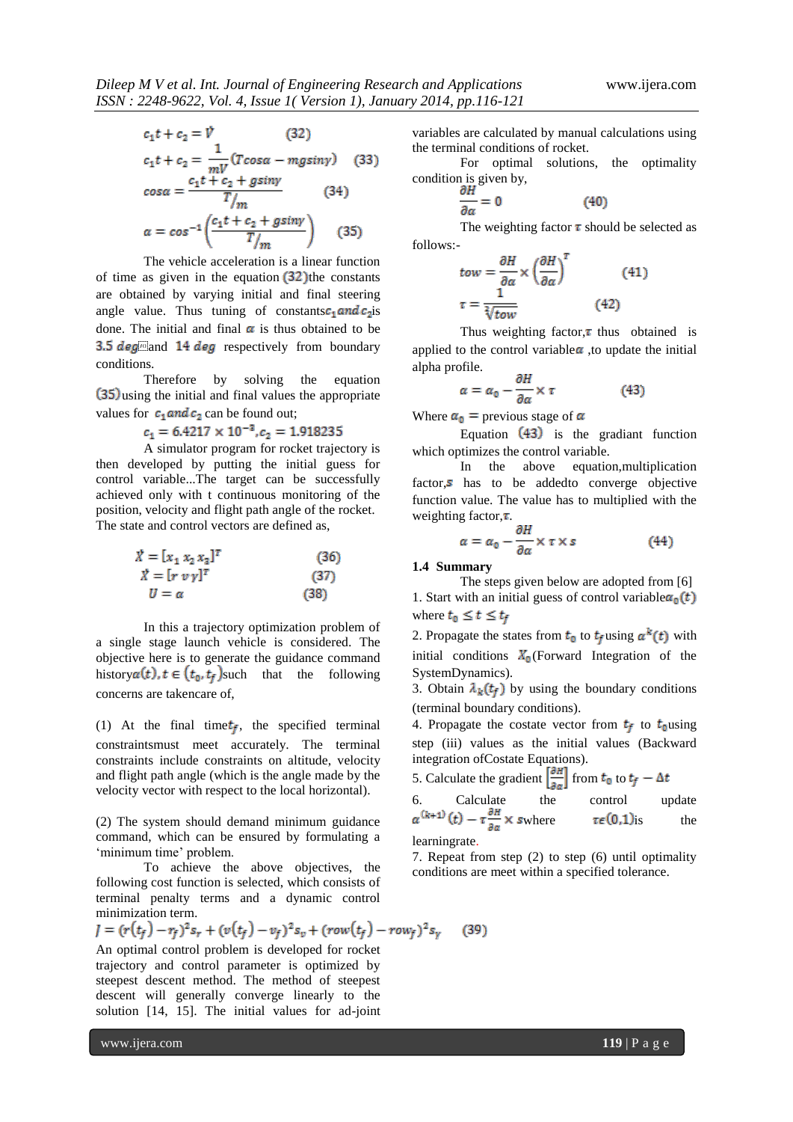$$
c_1t + c_2 = \mathcal{V} \qquad (32)
$$
  
\n
$$
c_1t + c_2 = \frac{1}{mV}(T\cos\alpha - mg\sin\gamma) \qquad (33)
$$
  
\n
$$
\cos\alpha = \frac{c_1t + c_2 + g\sin\gamma}{T/m} \qquad (34)
$$
  
\n
$$
\alpha = \cos^{-1}\left(\frac{c_1t + c_2 + g\sin\gamma}{T/m}\right) \qquad (35)
$$

The vehicle acceleration is a linear function of time as given in the equation  $(32)$  the constants are obtained by varying initial and final steering angle value. Thus tuning of constants  $c_1$  and  $c_2$  is done. The initial and final  $\alpha$  is thus obtained to be 3.5  $deg$  and 14  $deg$  respectively from boundary conditions.

Therefore by solving the equation (35) using the initial and final values the appropriate values for  $c_1$  and  $c_2$  can be found out;

$$
c_1 = 6.4217 \times 10^{-3}, c_2 = 1.918235
$$

A simulator program for rocket trajectory is then developed by putting the initial guess for control variable...The target can be successfully achieved only with t continuous monitoring of the position, velocity and flight path angle of the rocket. The state and control vectors are defined as,

$$
\begin{aligned}\n\ddot{X} &= [x_1 \, x_2 \, x_3]^T \quad (36) \\
\ddot{X} &= [r \, v \, \gamma]^T \quad (37) \\
U &= \alpha \quad (38)\n\end{aligned}
$$

In this a trajectory optimization problem of a single stage launch vehicle is considered. The objective here is to generate the guidance command history  $\alpha(t)$ ,  $t \in (t_0, t_f)$  such that the following concerns are takencare of,

(1) At the final time  $t_f$ , the specified terminal constraintsmust meet accurately. The terminal constraints include constraints on altitude, velocity and flight path angle (which is the angle made by the velocity vector with respect to the local horizontal).

(2) The system should demand minimum guidance command, which can be ensured by formulating a 'minimum time' problem.

To achieve the above objectives, the following cost function is selected, which consists of terminal penalty terms and a dynamic control minimization term.

$$
J = (r(t_f) - r_f)^2 s_r + (v(t_f) - v_f)^2 s_v + (row(t_f) - row_f)^2 s_v
$$
 (39)

An optimal control problem is developed for rocket trajectory and control parameter is optimized by steepest descent method. The method of steepest descent will generally converge linearly to the solution [14, 15]. The initial values for ad-joint

variables are calculated by manual calculations using the terminal conditions of rocket.

For optimal solutions, the optimality condition is given by,

$$
\frac{\partial H}{\partial \alpha} = 0 \tag{40}
$$

The weighting factor  $\tau$  should be selected as follows:-

$$
tow = \frac{\partial H}{\partial \alpha} \times \left(\frac{\partial H}{\partial \alpha}\right)^{T}
$$
(41)  

$$
\tau = \frac{1}{\sqrt[3]{tow}}
$$
(42)

Thus weighting factor, $\tau$  thus obtained is applied to the control variable  $\alpha$ , to update the initial alpha profile.

$$
= \alpha_0 - \frac{\partial H}{\partial \alpha} \times \tau \tag{43}
$$

Where  $\alpha_0$  = previous stage of  $\alpha$ 

Equation  $(43)$  is the gradiant function which optimizes the control variable.

In the above equation,multiplication factor, $s$  has to be addedto converge objective function value. The value has to multiplied with the weighting factor, $\tau$ .

$$
\alpha = \alpha_0 - \frac{\partial H}{\partial \alpha} \times \tau \times s \tag{44}
$$

**1.4 Summary** 

 $\alpha$ 

The steps given below are adopted from [6] 1. Start with an initial guess of control variable  $\alpha_0(t)$ where  $t_0 \leq t \leq t_f$ 

2. Propagate the states from  $t_0$  to  $t_f$  using  $\alpha^k(t)$  with initial conditions  $X_0$  (Forward Integration of the SystemDynamics).

3. Obtain  $\lambda_k(t_f)$  by using the boundary conditions (terminal boundary conditions).

4. Propagate the costate vector from  $t_f$  to  $t_0$  using step (iii) values as the initial values (Backward integration ofCostate Equations).

5. Calculate the gradient  $\left[\frac{\partial H}{\partial \alpha}\right]$  from  $t_0$  to  $t_f - \Delta t$ 

6. Calculate the control 
$$
\alpha^{(k+1)}(t) - \tau \frac{\partial H}{\partial \alpha} \times
$$
 where  $\tau \in (0,1)$  is the

learningrate.

7. Repeat from step (2) to step (6) until optimality conditions are meet within a specified tolerance.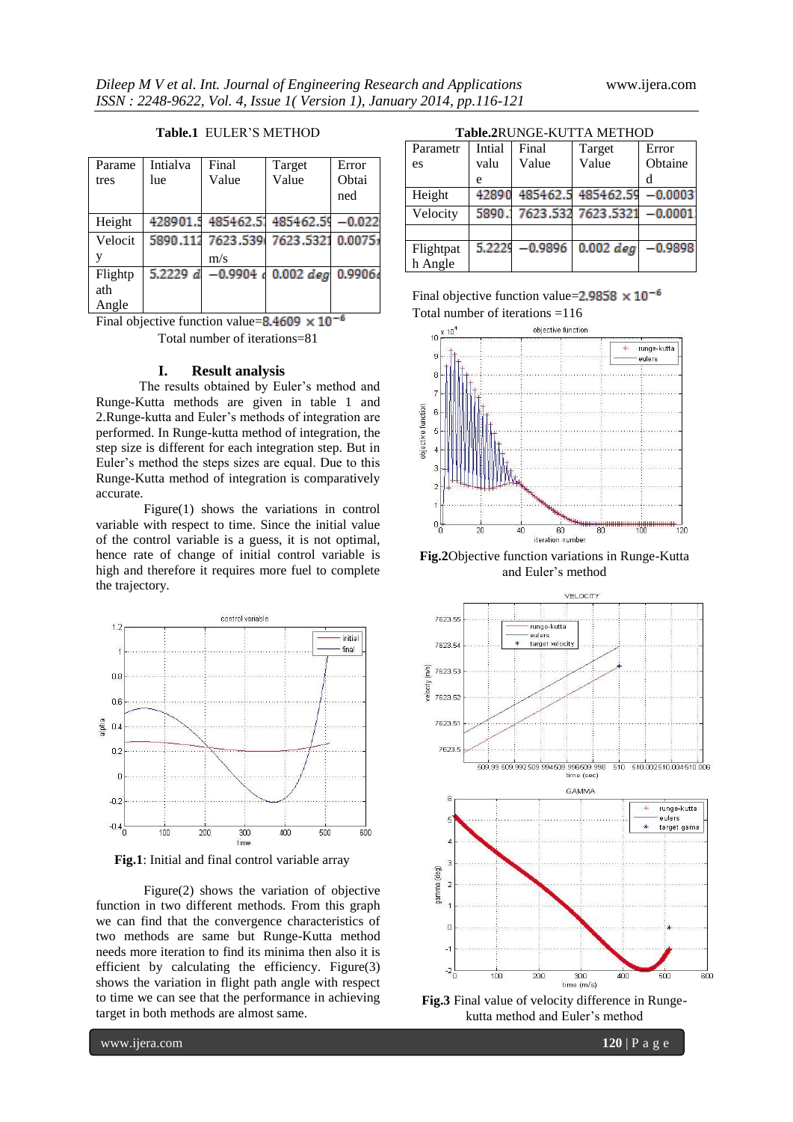$-0.0001$ 

 $-0.9898$ 

 $0.002$  deg

Flightpat h Angle

 $5.222$ 

| Parame  | Intialva | Final              | Target                              | Error |
|---------|----------|--------------------|-------------------------------------|-------|
| tres    | lue      | Value              | Value                               | Obtai |
|         |          |                    |                                     | ned   |
|         |          |                    |                                     |       |
| Height  |          |                    | 428901.5 485462.5 485462.5 - 0.022  |       |
| Velocit |          |                    | 5890.112 7623.539 7623.5321 0.0075; |       |
| V       |          | m/s                |                                     |       |
| Flightp |          | 5.2229 $d$ -0.9904 | $0.002$ deg $0.9906$                |       |
| ath     |          |                    |                                     |       |
| Angle   |          |                    |                                     |       |

### **Table.1** EULER"S METHOD

Final objective function value=8,4609  $\times$  10<sup>-6</sup>

Total number of iterations=81

### **I. Result analysis**

 The results obtained by Euler"s method and Runge-Kutta methods are given in table 1 and 2.Runge-kutta and Euler"s methods of integration are performed. In Runge-kutta method of integration, the step size is different for each integration step. But in Euler's method the steps sizes are equal. Due to this Runge-Kutta method of integration is comparatively accurate.

Figure(1) shows the variations in control variable with respect to time. Since the initial value of the control variable is a guess, it is not optimal, hence rate of change of initial control variable is high and therefore it requires more fuel to complete the trajectory.



**Fig.1**: Initial and final control variable array

Figure(2) shows the variation of objective function in two different methods. From this graph we can find that the convergence characteristics of two methods are same but Runge-Kutta method needs more iteration to find its minima then also it is efficient by calculating the efficiency. Figure(3) shows the variation in flight path angle with respect to time we can see that the performance in achieving target in both methods are almost same.

| <b>Table.2RUNGE-KUTTA METHOD</b> |        |       |                                 |          |  |  |
|----------------------------------|--------|-------|---------------------------------|----------|--|--|
| Parametr                         | Intial | Final | Target                          | Error    |  |  |
| es                               | valu   | Value | Value                           | Obtaine  |  |  |
|                                  | e      |       |                                 | d        |  |  |
| Height                           |        |       | 42890 485462.5 485462.59 -0.000 |          |  |  |
| Velocity                         | 5890.  |       | 7623.532 7623.5321              | $-0.000$ |  |  |

Final objective function value= $2.9858 \times 10^{-6}$ Total number of iterations =116

 $-0.9896$ 



**Fig.2**Objective function variations in Runge-Kutta and Euler"s method



**Fig.3** Final value of velocity difference in Rungekutta method and Euler"s method

www.ijera.com **120** | P a g e